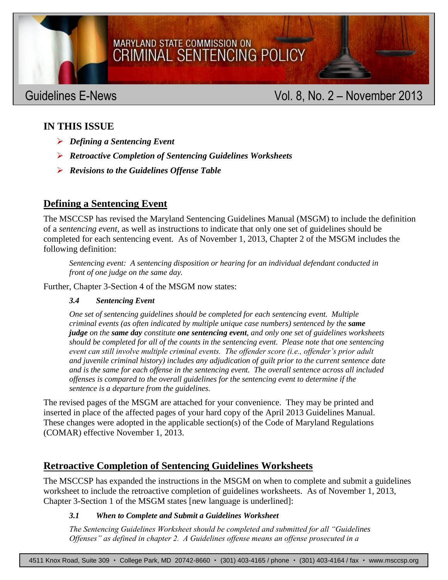# MSCCSP GUIDELINES E-NEWS VOIDELINES E-NEWS VOIDELINES E-NEWS VOIDELINES E-NEWS VOIDELINES E-NEWS VOIDELINES E-

### MARYLAND STATE COMMISSION ON CRIMINAL SENTENCING POLICY

### Guidelines E-News **Contract Contract Contract Contract Contract Contract Contract Contract Contract Contract Contract Contract Contract Contract Contract Contract Contract Contract Contract Contract Contract Contract Contr**

### **IN THIS ISSUE**

- *Defining a Sentencing Event*
- *Retroactive Completion of Sentencing Guidelines Worksheets*
- *Revisions to the Guidelines Offense Table*

### **Defining a Sentencing Event**

The MSCCSP has revised the Maryland Sentencing Guidelines Manual (MSGM) to include the definition of a *sentencing event*, as well as instructions to indicate that only one set of guidelines should be completed for each sentencing event. As of November 1, 2013, Chapter 2 of the MSGM includes the following definition:

*Sentencing event: A sentencing disposition or hearing for an individual defendant conducted in front of one judge on the same day.*

Further, Chapter 3-Section 4 of the MSGM now states:

### *3.4 Sentencing Event*

*One set of sentencing guidelines should be completed for each sentencing event. Multiple criminal events (as often indicated by multiple unique case numbers) sentenced by the same judge on the same day constitute one sentencing event, and only one set of guidelines worksheets should be completed for all of the counts in the sentencing event. Please note that one sentencing event can still involve multiple criminal events. The offender score (i.e., offender's prior adult and juvenile criminal history) includes any adjudication of guilt prior to the current sentence date and is the same for each offense in the sentencing event. The overall sentence across all included offenses is compared to the overall guidelines for the sentencing event to determine if the sentence is a departure from the guidelines.*

The revised pages of the MSGM are attached for your convenience. They may be printed and inserted in place of the affected pages of your hard copy of the April 2013 Guidelines Manual. These changes were adopted in the applicable section(s) of the Code of Maryland Regulations (COMAR) effective November 1, 2013.

### **Retroactive Completion of Sentencing Guidelines Worksheets**

The MSCCSP has expanded the instructions in the MSGM on when to complete and submit a guidelines worksheet to include the retroactive completion of guidelines worksheets. As of November 1, 2013, Chapter 3-Section 1 of the MSGM states [new language is underlined]:

### *3.1 When to Complete and Submit a Guidelines Worksheet*

*The Sentencing Guidelines Worksheet should be completed and submitted for all "Guidelines Offenses" as defined in chapter 2. A Guidelines offense means an offense prosecuted in a*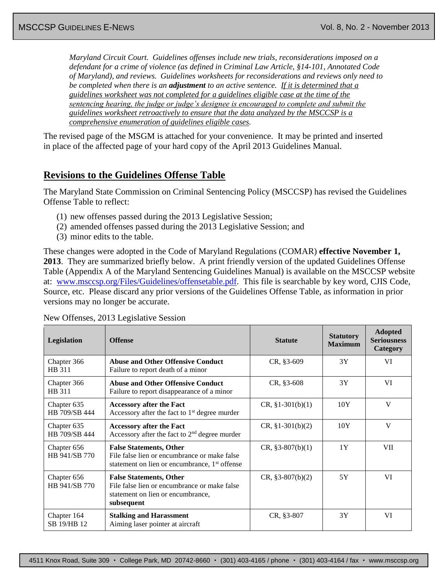*Maryland Circuit Court. Guidelines offenses include new trials, reconsiderations imposed on a defendant for a crime of violence (as defined in Criminal Law Article, §14-101, Annotated Code of Maryland), and reviews. Guidelines worksheets for reconsiderations and reviews only need to be completed when there is an adjustment to an active sentence. If it is determined that a guidelines worksheet was not completed for a guidelines eligible case at the time of the sentencing hearing, the judge or judge's designee is encouraged to complete and submit the guidelines worksheet retroactively to ensure that the data analyzed by the MSCCSP is a comprehensive enumeration of guidelines eligible cases.*

The revised page of the MSGM is attached for your convenience. It may be printed and inserted in place of the affected page of your hard copy of the April 2013 Guidelines Manual.

### **Revisions to the Guidelines Offense Table**

The Maryland State Commission on Criminal Sentencing Policy (MSCCSP) has revised the Guidelines Offense Table to reflect:

- (1) new offenses passed during the 2013 Legislative Session;
- (2) amended offenses passed during the 2013 Legislative Session; and
- (3) minor edits to the table.

These changes were adopted in the Code of Maryland Regulations (COMAR) **effective November 1, 2013**. They are summarized briefly below. A print friendly version of the updated Guidelines Offense Table (Appendix A of the Maryland Sentencing Guidelines Manual) is available on the MSCCSP website at: [www.msccsp.org/Files/Guidelines/offensetable.pdf.](http://www.msccsp.org/Files/Guidelines/offensetable.pdf) This file is searchable by key word, CJIS Code, Source, etc. Please discard any prior versions of the Guidelines Offense Table, as information in prior versions may no longer be accurate.

New Offenses, 2013 Legislative Session

| Legislation                  | <b>Offense</b>                                                                                                                              | <b>Statute</b>     | <b>Statutory</b><br><b>Maximum</b> | <b>Adopted</b><br><b>Seriousness</b><br>Category |
|------------------------------|---------------------------------------------------------------------------------------------------------------------------------------------|--------------------|------------------------------------|--------------------------------------------------|
| Chapter 366<br>HB 311        | <b>Abuse and Other Offensive Conduct</b><br>Failure to report death of a minor                                                              | $CR, §3-609$       | 3Y                                 | VI                                               |
| Chapter 366<br>HB 311        | <b>Abuse and Other Offensive Conduct</b><br>Failure to report disappearance of a minor                                                      | $CR, §3-608$       | 3Y                                 | VI                                               |
| Chapter 635<br>HB 709/SB 444 | <b>Accessory after the Fact</b><br>Accessory after the fact to $1st$ degree murder                                                          | $CR, §1-301(b)(1)$ | 10Y                                | $\mathbf{V}$                                     |
| Chapter 635<br>HB 709/SB 444 | <b>Accessory after the Fact</b><br>Accessory after the fact to $2nd$ degree murder                                                          | $CR, §1-301(b)(2)$ | 10Y                                | V                                                |
| Chapter 656<br>HB 941/SB 770 | <b>False Statements, Other</b><br>File false lien or encumbrance or make false<br>statement on lien or encumbrance, 1 <sup>st</sup> offense | $CR, §3-807(b)(1)$ | 1Y                                 | VII                                              |
| Chapter 656<br>HB 941/SB 770 | <b>False Statements, Other</b><br>File false lien or encumbrance or make false<br>statement on lien or encumbrance,<br>subsequent           | $CR, §3-807(b)(2)$ | 5Y                                 | VI                                               |
| Chapter 164<br>SB 19/HB 12   | <b>Stalking and Harassment</b><br>Aiming laser pointer at aircraft                                                                          | $CR, §3-807$       | 3Y                                 | VI                                               |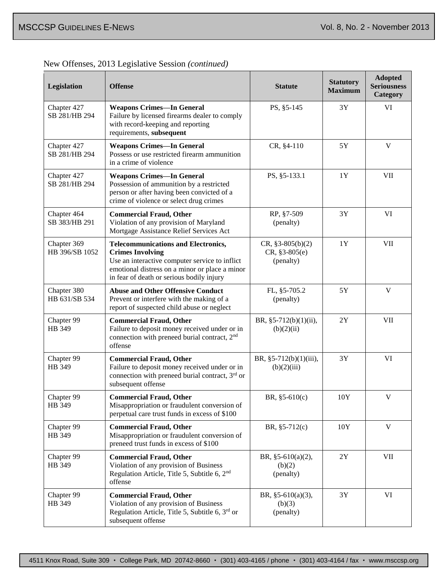|  |  | New Offenses, 2013 Legislative Session (continued) |
|--|--|----------------------------------------------------|
|  |  |                                                    |

| Legislation                   | <b>Offense</b>                                                                                                                                                                                                         | <b>Statute</b>                                      | <b>Statutory</b><br><b>Maximum</b> | <b>Adopted</b><br><b>Seriousness</b><br>Category |
|-------------------------------|------------------------------------------------------------------------------------------------------------------------------------------------------------------------------------------------------------------------|-----------------------------------------------------|------------------------------------|--------------------------------------------------|
| Chapter 427<br>SB 281/HB 294  | <b>Weapons Crimes-In General</b><br>Failure by licensed firearms dealer to comply<br>with record-keeping and reporting<br>requirements, subsequent                                                                     | PS, §5-145                                          | 3Y                                 | VI                                               |
| Chapter 427<br>SB 281/HB 294  | <b>Weapons Crimes-In General</b><br>Possess or use restricted firearm ammunition<br>in a crime of violence                                                                                                             | CR, §4-110                                          | 5Y                                 | V                                                |
| Chapter 427<br>SB 281/HB 294  | <b>Weapons Crimes-In General</b><br>Possession of ammunition by a restricted<br>person or after having been convicted of a<br>crime of violence or select drug crimes                                                  | PS, §5-133.1                                        | 1Y                                 | <b>VII</b>                                       |
| Chapter 464<br>SB 383/HB 291  | <b>Commercial Fraud, Other</b><br>Violation of any provision of Maryland<br>Mortgage Assistance Relief Services Act                                                                                                    | RP, §7-509<br>(penalty)                             | 3Y                                 | VI                                               |
| Chapter 369<br>HB 396/SB 1052 | <b>Telecommunications and Electronics,</b><br><b>Crimes Involving</b><br>Use an interactive computer service to inflict<br>emotional distress on a minor or place a minor<br>in fear of death or serious bodily injury | $CR, \S3-805(b)(2)$<br>$CR, §3-805(e)$<br>(penalty) | 1Y                                 | <b>VII</b>                                       |
| Chapter 380<br>HB 631/SB 534  | <b>Abuse and Other Offensive Conduct</b><br>Prevent or interfere with the making of a<br>report of suspected child abuse or neglect                                                                                    | FL, §5-705.2<br>(penalty)                           | 5Y                                 | V                                                |
| Chapter 99<br>HB 349          | <b>Commercial Fraud, Other</b><br>Failure to deposit money received under or in<br>connection with preneed burial contract, 2 <sup>nd</sup><br>offense                                                                 | BR, §5-712(b)(1)(ii),<br>(b)(2)(ii)                 | $2{\rm Y}$                         | <b>VII</b>                                       |
| Chapter 99<br>HB 349          | <b>Commercial Fraud, Other</b><br>Failure to deposit money received under or in<br>connection with preneed burial contract, $3rd$ or<br>subsequent offense                                                             | BR, §5-712(b)(1)(iii),<br>(b)(2)(iii)               | 3Y                                 | VI                                               |
| Chapter 99<br>HB 349          | <b>Commercial Fraud, Other</b><br>Misappropriation or fraudulent conversion of<br>perpetual care trust funds in excess of \$100                                                                                        | BR, $§5-610(c)$                                     | 10Y                                | V                                                |
| Chapter 99<br>HB 349          | <b>Commercial Fraud, Other</b><br>Misappropriation or fraudulent conversion of<br>preneed trust funds in excess of \$100                                                                                               | BR, $§5-712(c)$                                     | 10Y                                | $\mathbf V$                                      |
| Chapter 99<br>HB 349          | <b>Commercial Fraud, Other</b><br>Violation of any provision of Business<br>Regulation Article, Title 5, Subtitle 6, 2 <sup>nd</sup><br>offense                                                                        | BR, $§5-610(a)(2)$ ,<br>(b)(2)<br>(penalty)         | $2\,{\rm Y}$                       | <b>VII</b>                                       |
| Chapter 99<br>HB 349          | <b>Commercial Fraud, Other</b><br>Violation of any provision of Business<br>Regulation Article, Title 5, Subtitle 6, $3rd$ or<br>subsequent offense                                                                    | BR, $§5-610(a)(3)$ ,<br>(b)(3)<br>(penalty)         | 3Y                                 | VI                                               |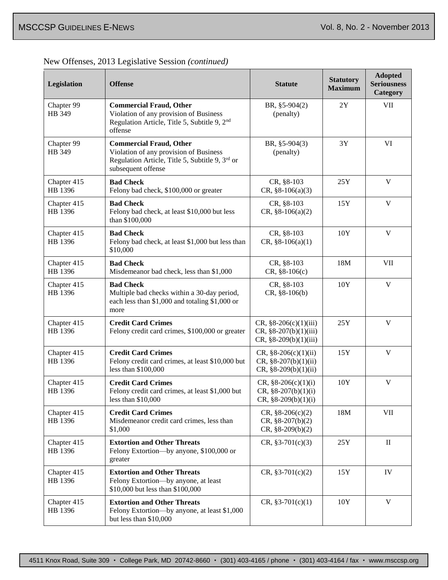Г

**Adopted** 

| Legislation            | <b>Offense</b>                                                                                                                                    | <b>Statute</b>                                                                | <b>Statutory</b><br><b>Maximum</b> | Adopted<br><b>Seriousness</b><br>Category |
|------------------------|---------------------------------------------------------------------------------------------------------------------------------------------------|-------------------------------------------------------------------------------|------------------------------------|-------------------------------------------|
| Chapter 99<br>HB 349   | <b>Commercial Fraud, Other</b><br>Violation of any provision of Business<br>Regulation Article, Title 5, Subtitle 9, 2 <sup>nd</sup><br>offense   | BR, §5-904(2)<br>(penalty)                                                    | $2{\rm Y}$                         | VII                                       |
| Chapter 99<br>HB 349   | <b>Commercial Fraud, Other</b><br>Violation of any provision of Business<br>Regulation Article, Title 5, Subtitle 9, 3rd or<br>subsequent offense | BR, §5-904(3)<br>(penalty)                                                    | 3Y                                 | VI                                        |
| Chapter 415<br>HB 1396 | <b>Bad Check</b><br>Felony bad check, \$100,000 or greater                                                                                        | CR, §8-103<br>$CR, §8-106(a)(3)$                                              | 25Y                                | V                                         |
| Chapter 415<br>HB 1396 | <b>Bad Check</b><br>Felony bad check, at least \$10,000 but less<br>than \$100,000                                                                | CR, §8-103<br>$CR, \S 8-106(a)(2)$                                            | 15Y                                | $\mathbf V$                               |
| Chapter 415<br>HB 1396 | <b>Bad Check</b><br>Felony bad check, at least \$1,000 but less than<br>\$10,000                                                                  | CR, §8-103<br>$CR, §8-106(a)(1)$                                              | 10Y                                | $\mathbf V$                               |
| Chapter 415<br>HB 1396 | <b>Bad Check</b><br>Misdemeanor bad check, less than \$1,000                                                                                      | CR, §8-103<br>$CR, §8-106(c)$                                                 | 18M                                | <b>VII</b>                                |
| Chapter 415<br>HB 1396 | <b>Bad Check</b><br>Multiple bad checks within a 30-day period,<br>each less than \$1,000 and totaling \$1,000 or<br>more                         | CR, §8-103<br>$CR, §8-106(b)$                                                 | 10Y                                | $\mathbf V$                               |
| Chapter 415<br>HB 1396 | <b>Credit Card Crimes</b><br>Felony credit card crimes, \$100,000 or greater                                                                      | $CR, §8-206(c)(1)(iii)$<br>$CR, §8-207(b)(1)(iii)$<br>$CR, §8-209(b)(1)(iii)$ | 25Y                                | V                                         |
| Chapter 415<br>HB 1396 | <b>Credit Card Crimes</b><br>Felony credit card crimes, at least \$10,000 but<br>less than \$100,000                                              | $CR, \S 8-206(c)(1)(ii)$<br>$CR, §8-207(b)(1)(ii)$<br>$CR, §8-209(b)(1)(ii)$  | 15Y                                | V                                         |
| Chapter 415<br>HB 1396 | <b>Credit Card Crimes</b><br>Felony credit card crimes, at least \$1,000 but<br>less than $$10,000$                                               | CR, $§8-206(c)(1)(i)$<br>$CR, §8-207(b)(1)(i)$<br>$CR, §8-209(b)(1)(i)$       | 10Y                                | $\mathbf V$                               |
| Chapter 415<br>HB 1396 | <b>Credit Card Crimes</b><br>Misdemeanor credit card crimes, less than<br>\$1,000                                                                 | $CR, §8-206(c)(2)$<br>$CR, §8-207(b)(2)$<br>$CR, §8-209(b)(2)$                | 18M                                | <b>VII</b>                                |
| Chapter 415<br>HB 1396 | <b>Extortion and Other Threats</b><br>Felony Extortion-by anyone, \$100,000 or<br>greater                                                         | $CR, \S 3-701(c)(3)$                                                          | 25Y                                | $\mathbf{I}$                              |
| Chapter 415<br>HB 1396 | <b>Extortion and Other Threats</b><br>Felony Extortion-by anyone, at least<br>\$10,000 but less than \$100,000                                    | $CR, \S 3-701(c)(2)$                                                          | 15Y                                | IV                                        |
| Chapter 415<br>HB 1396 | <b>Extortion and Other Threats</b><br>Felony Extortion-by anyone, at least \$1,000<br>but less than \$10,000                                      | $CR, \S 3-701(c)(1)$                                                          | 10Y                                | V                                         |

New Offenses, 2013 Legislative Session *(continued)*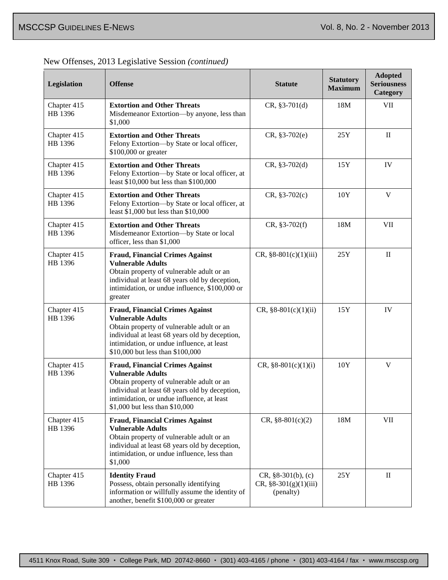г

| Legislation            | <b>Offense</b>                                                                                                                                                                                                                                      | <b>Statute</b>                                               | <b>Statutory</b><br><b>Maximum</b> | <b>Adopted</b><br><b>Seriousness</b><br>Category |
|------------------------|-----------------------------------------------------------------------------------------------------------------------------------------------------------------------------------------------------------------------------------------------------|--------------------------------------------------------------|------------------------------------|--------------------------------------------------|
| Chapter 415<br>HB 1396 | <b>Extortion and Other Threats</b><br>Misdemeanor Extortion-by anyone, less than<br>\$1,000                                                                                                                                                         | $CR, §3-701(d)$                                              | 18M                                | VII                                              |
| Chapter 415<br>HB 1396 | <b>Extortion and Other Threats</b><br>Felony Extortion-by State or local officer,<br>\$100,000 or greater                                                                                                                                           | $CR, §3-702(e)$                                              | 25Y                                | $\mathbf{I}$                                     |
| Chapter 415<br>HB 1396 | <b>Extortion and Other Threats</b><br>Felony Extortion-by State or local officer, at<br>least \$10,000 but less than \$100,000                                                                                                                      | $CR, §3-702(d)$                                              | 15Y                                | IV                                               |
| Chapter 415<br>HB 1396 | <b>Extortion and Other Threats</b><br>Felony Extortion-by State or local officer, at<br>least \$1,000 but less than \$10,000                                                                                                                        | $CR, §3-702(c)$                                              | 10Y                                | $\mathbf V$                                      |
| Chapter 415<br>HB 1396 | <b>Extortion and Other Threats</b><br>Misdemeanor Extortion-by State or local<br>officer, less than \$1,000                                                                                                                                         | $CR, §3-702(f)$                                              | 18M                                | <b>VII</b>                                       |
| Chapter 415<br>HB 1396 | <b>Fraud, Financial Crimes Against</b><br><b>Vulnerable Adults</b><br>Obtain property of vulnerable adult or an<br>individual at least 68 years old by deception,<br>intimidation, or undue influence, \$100,000 or<br>greater                      | $CR, §8-801(c)(1)(iii)$                                      | 25Y                                | $\mathbf{I}$                                     |
| Chapter 415<br>HB 1396 | <b>Fraud, Financial Crimes Against</b><br><b>Vulnerable Adults</b><br>Obtain property of vulnerable adult or an<br>individual at least 68 years old by deception,<br>intimidation, or undue influence, at least<br>\$10,000 but less than \$100,000 | CR, $§8-801(c)(1)(ii)$                                       | 15Y                                | IV                                               |
| Chapter 415<br>HB 1396 | <b>Fraud, Financial Crimes Against</b><br><b>Vulnerable Adults</b><br>Obtain property of vulnerable adult or an<br>individual at least 68 years old by deception,<br>intimidation, or undue influence, at least<br>\$1,000 but less than \$10,000   | CR, $§8-801(c)(1)(i)$                                        | 10Y                                | $\mathbf V$                                      |
| Chapter 415<br>HB 1396 | <b>Fraud, Financial Crimes Against</b><br><b>Vulnerable Adults</b><br>Obtain property of vulnerable adult or an<br>individual at least 68 years old by deception,<br>intimidation, or undue influence, less than<br>\$1,000                         | $CR, \S 8-801(c)(2)$                                         | 18M                                | VII                                              |
| Chapter 415<br>HB 1396 | <b>Identity Fraud</b><br>Possess, obtain personally identifying<br>information or willfully assume the identity of<br>another, benefit \$100,000 or greater                                                                                         | $CR, §8-301(b), (c)$<br>$CR, §8-301(g)(1)(iii)$<br>(penalty) | 25Y                                | $\rm II$                                         |

New Offenses, 2013 Legislative Session *(continued)*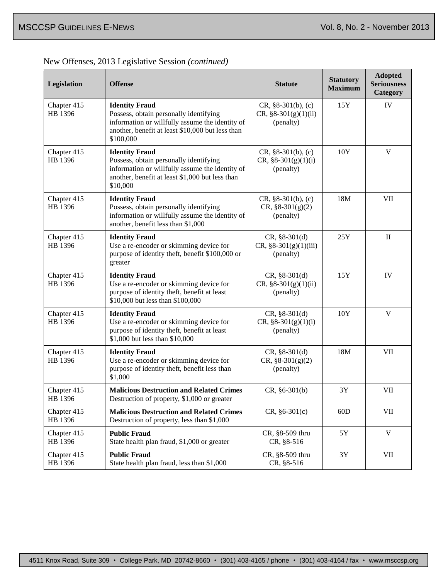| New Offenses, 2013 Legislative Session (continued) |
|----------------------------------------------------|
|----------------------------------------------------|

| Legislation            | <b>Offense</b>                                                                                                                                                                      | <b>Statute</b>                                              | <b>Statutory</b><br><b>Maximum</b> | <b>Adopted</b><br><b>Seriousness</b><br>Category |
|------------------------|-------------------------------------------------------------------------------------------------------------------------------------------------------------------------------------|-------------------------------------------------------------|------------------------------------|--------------------------------------------------|
| Chapter 415<br>HB 1396 | <b>Identity Fraud</b><br>Possess, obtain personally identifying<br>information or willfully assume the identity of<br>another, benefit at least \$10,000 but less than<br>\$100,000 | $CR, §8-301(b), (c)$<br>$CR, §8-301(g)(1)(ii)$<br>(penalty) | 15Y                                | IV                                               |
| Chapter 415<br>HB 1396 | <b>Identity Fraud</b><br>Possess, obtain personally identifying<br>information or willfully assume the identity of<br>another, benefit at least \$1,000 but less than<br>\$10,000   | $CR, §8-301(b), (c)$<br>CR, $§8-301(g)(1)(i)$<br>(penalty)  | 10Y                                | $\mathbf V$                                      |
| Chapter 415<br>HB 1396 | <b>Identity Fraud</b><br>Possess, obtain personally identifying<br>information or willfully assume the identity of<br>another, benefit less than \$1,000                            | $CR, §8-301(b), (c)$<br>$CR, §8-301(g)(2)$<br>(penalty)     | 18M                                | VII                                              |
| Chapter 415<br>HB 1396 | <b>Identity Fraud</b><br>Use a re-encoder or skimming device for<br>purpose of identity theft, benefit \$100,000 or<br>greater                                                      | $CR, §8-301(d)$<br>CR, §8-301(g)(1)(iii)<br>(penalty)       | 25Y                                | $\mathbf{I}$                                     |
| Chapter 415<br>HB 1396 | <b>Identity Fraud</b><br>Use a re-encoder or skimming device for<br>purpose of identity theft, benefit at least<br>\$10,000 but less than \$100,000                                 | $CR, §8-301(d)$<br>$CR, §8-301(g)(1)(ii)$<br>(penalty)      | 15Y                                | IV                                               |
| Chapter 415<br>HB 1396 | <b>Identity Fraud</b><br>Use a re-encoder or skimming device for<br>purpose of identity theft, benefit at least<br>\$1,000 but less than \$10,000                                   | $CR, §8-301(d)$<br>CR, $§8-301(g)(1)(i)$<br>(penalty)       | 10Y                                | V                                                |
| Chapter 415<br>HB 1396 | <b>Identity Fraud</b><br>Use a re-encoder or skimming device for<br>purpose of identity theft, benefit less than<br>\$1,000                                                         | $CR, §8-301(d)$<br>$CR, \S 8-301(g)(2)$<br>(penalty)        | 18M                                | <b>VII</b>                                       |
| Chapter 415<br>HB 1396 | <b>Malicious Destruction and Related Crimes</b><br>Destruction of property, \$1,000 or greater                                                                                      | $CR, §6-301(b)$                                             | 3Y                                 | <b>VII</b>                                       |
| Chapter 415<br>HB 1396 | <b>Malicious Destruction and Related Crimes</b><br>Destruction of property, less than \$1,000                                                                                       | $CR, §6-301(c)$                                             | 60D                                | <b>VII</b>                                       |
| Chapter 415<br>HB 1396 | <b>Public Fraud</b><br>State health plan fraud, \$1,000 or greater                                                                                                                  | CR, §8-509 thru<br>CR, §8-516                               | 5Y                                 | $\mathbf V$                                      |
| Chapter 415<br>HB 1396 | <b>Public Fraud</b><br>State health plan fraud, less than \$1,000                                                                                                                   | CR, §8-509 thru<br>CR, §8-516                               | 3Y                                 | VII                                              |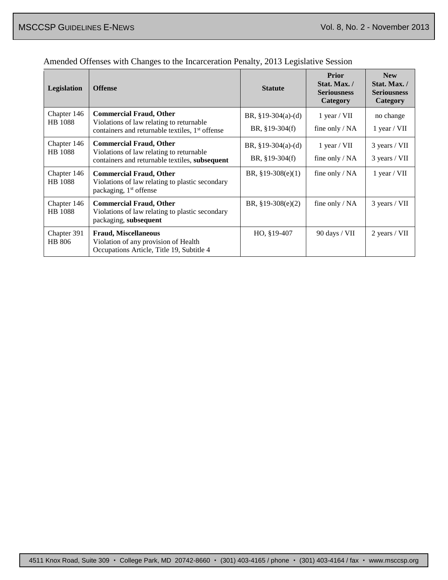| <b>Legislation</b>            | <b>Offense</b>                                                                                                                            | <b>Statute</b>                           | <b>Prior</b><br>Stat. Max./<br><b>Seriousness</b><br>Category | <b>New</b><br>Stat. Max. /<br><b>Seriousness</b><br>Category |
|-------------------------------|-------------------------------------------------------------------------------------------------------------------------------------------|------------------------------------------|---------------------------------------------------------------|--------------------------------------------------------------|
| Chapter 146<br><b>HB</b> 1088 | <b>Commercial Fraud, Other</b><br>Violations of law relating to returnable<br>containers and returnable textiles, 1 <sup>st</sup> offense | BR, $§19-304(a)-(d)$<br>BR, $§19-304(f)$ | $1$ year / VII<br>fine only $/ NA$                            | no change<br>$1$ year / VII                                  |
| Chapter 146<br>HB 1088        | <b>Commercial Fraud, Other</b><br>Violations of law relating to returnable<br>containers and returnable textiles, subsequent              | BR, $§19-304(a)-(d)$<br>BR, $§19-304(f)$ | $1$ year / VII<br>fine only $/ NA$                            | 3 years / VII<br>3 years / VII                               |
| Chapter 146<br>HB 1088        | <b>Commercial Fraud, Other</b><br>Violations of law relating to plastic secondary<br>packaging, 1 <sup>st</sup> offense                   | BR, $§19-308(e)(1)$                      | fine only / NA                                                | $1$ year / VII                                               |
| Chapter 146<br>HB 1088        | <b>Commercial Fraud, Other</b><br>Violations of law relating to plastic secondary<br>packaging, subsequent                                | BR, $§19-308(e)(2)$                      | fine only $/ NA$                                              | 3 years / VII                                                |
| Chapter 391<br>HB 806         | <b>Fraud, Miscellaneous</b><br>Violation of any provision of Health<br>Occupations Article, Title 19, Subtitle 4                          | HO, §19-407                              | 90 days / VII                                                 | 2 years / VII                                                |

### Amended Offenses with Changes to the Incarceration Penalty, 2013 Legislative Session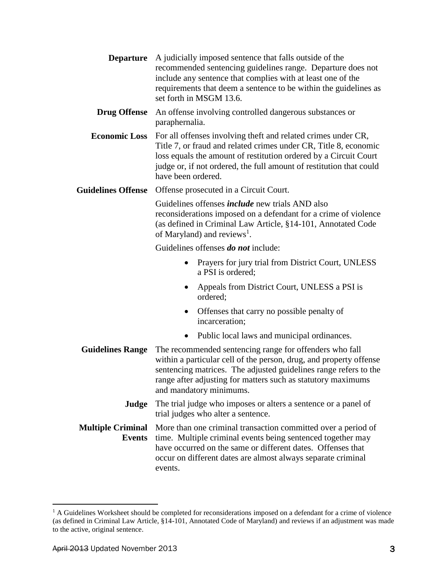| <b>Departure</b>                          | A judicially imposed sentence that falls outside of the<br>recommended sentencing guidelines range. Departure does not<br>include any sentence that complies with at least one of the<br>requirements that deem a sentence to be within the guidelines as<br>set forth in MSGM 13.6.               |
|-------------------------------------------|----------------------------------------------------------------------------------------------------------------------------------------------------------------------------------------------------------------------------------------------------------------------------------------------------|
| <b>Drug Offense</b>                       | An offense involving controlled dangerous substances or<br>paraphernalia.                                                                                                                                                                                                                          |
| <b>Economic Loss</b>                      | For all offenses involving theft and related crimes under CR,<br>Title 7, or fraud and related crimes under CR, Title 8, economic<br>loss equals the amount of restitution ordered by a Circuit Court<br>judge or, if not ordered, the full amount of restitution that could<br>have been ordered. |
| <b>Guidelines Offense</b>                 | Offense prosecuted in a Circuit Court.                                                                                                                                                                                                                                                             |
|                                           | Guidelines offenses <i>include</i> new trials AND also<br>reconsiderations imposed on a defendant for a crime of violence<br>(as defined in Criminal Law Article, §14-101, Annotated Code<br>of Maryland) and reviews <sup>1</sup> .                                                               |
|                                           | Guidelines offenses <i>do not</i> include:                                                                                                                                                                                                                                                         |
|                                           | Prayers for jury trial from District Court, UNLESS<br>$\bullet$<br>a PSI is ordered;                                                                                                                                                                                                               |
|                                           | Appeals from District Court, UNLESS a PSI is<br>$\bullet$<br>ordered;                                                                                                                                                                                                                              |
|                                           | Offenses that carry no possible penalty of<br>incarceration;                                                                                                                                                                                                                                       |
|                                           | Public local laws and municipal ordinances.<br>$\bullet$                                                                                                                                                                                                                                           |
| <b>Guidelines Range</b>                   | The recommended sentencing range for offenders who fall<br>within a particular cell of the person, drug, and property offense<br>sentencing matrices. The adjusted guidelines range refers to the<br>range after adjusting for matters such as statutory maximums<br>and mandatory minimums.       |
| Judge                                     | The trial judge who imposes or alters a sentence or a panel of<br>trial judges who alter a sentence.                                                                                                                                                                                               |
| <b>Multiple Criminal</b><br><b>Events</b> | More than one criminal transaction committed over a period of<br>time. Multiple criminal events being sentenced together may<br>have occurred on the same or different dates. Offenses that<br>occur on different dates are almost always separate criminal<br>events.                             |

 $\overline{a}$ 

 $<sup>1</sup>$  A Guidelines Worksheet should be completed for reconsiderations imposed on a defendant for a crime of violence</sup> (as defined in Criminal Law Article, §14-101, Annotated Code of Maryland) and reviews if an adjustment was made to the active, original sentence.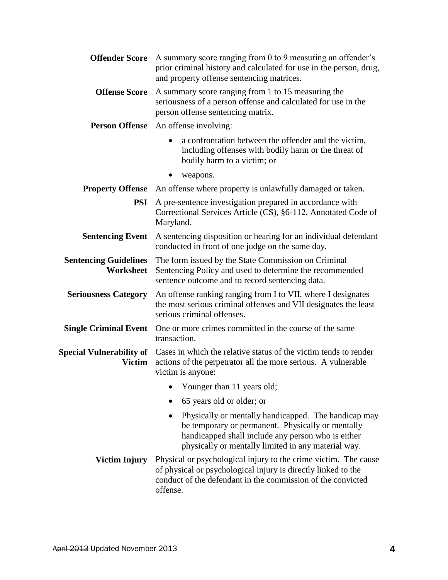| <b>Offender Score</b>                     | A summary score ranging from 0 to 9 measuring an offender's<br>prior criminal history and calculated for use in the person, drug,<br>and property offense sentencing matrices.                                         |
|-------------------------------------------|------------------------------------------------------------------------------------------------------------------------------------------------------------------------------------------------------------------------|
| <b>Offense Score</b>                      | A summary score ranging from 1 to 15 measuring the<br>seriousness of a person offense and calculated for use in the<br>person offense sentencing matrix.                                                               |
|                                           | <b>Person Offense</b> An offense involving:                                                                                                                                                                            |
|                                           | a confrontation between the offender and the victim,<br>$\bullet$<br>including offenses with bodily harm or the threat of<br>bodily harm to a victim; or                                                               |
|                                           | weapons.                                                                                                                                                                                                               |
| <b>Property Offense</b>                   | An offense where property is unlawfully damaged or taken.                                                                                                                                                              |
| <b>PSI</b>                                | A pre-sentence investigation prepared in accordance with<br>Correctional Services Article (CS), §6-112, Annotated Code of<br>Maryland.                                                                                 |
| <b>Sentencing Event</b>                   | A sentencing disposition or hearing for an individual defendant<br>conducted in front of one judge on the same day.                                                                                                    |
| <b>Sentencing Guidelines</b><br>Worksheet | The form issued by the State Commission on Criminal<br>Sentencing Policy and used to determine the recommended<br>sentence outcome and to record sentencing data.                                                      |
| <b>Seriousness Category</b>               | An offense ranking ranging from I to VII, where I designates<br>the most serious criminal offenses and VII designates the least<br>serious criminal offenses.                                                          |
| <b>Single Criminal Event</b>              | One or more crimes committed in the course of the same<br>transaction.                                                                                                                                                 |
| Victim                                    | Special Vulnerability of Cases in which the relative status of the victim tends to render<br>actions of the perpetrator all the more serious. A vulnerable<br>victim is anyone:                                        |
|                                           | Younger than 11 years old;                                                                                                                                                                                             |
|                                           | 65 years old or older; or                                                                                                                                                                                              |
|                                           | Physically or mentally handicapped. The handicap may<br>be temporary or permanent. Physically or mentally<br>handicapped shall include any person who is either<br>physically or mentally limited in any material way. |
| Victim Injury                             | Physical or psychological injury to the crime victim. The cause<br>of physical or psychological injury is directly linked to the<br>conduct of the defendant in the commission of the convicted<br>offense.            |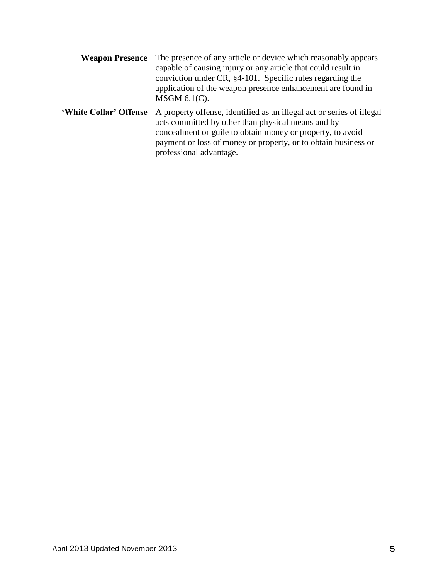|                        | <b>Weapon Presence</b> The presence of any article or device which reasonably appears<br>capable of causing injury or any article that could result in<br>conviction under CR, §4-101. Specific rules regarding the<br>application of the weapon presence enhancement are found in<br>$MSGM$ 6.1(C). |
|------------------------|------------------------------------------------------------------------------------------------------------------------------------------------------------------------------------------------------------------------------------------------------------------------------------------------------|
| 'White Collar' Offense | A property offense, identified as an illegal act or series of illegal<br>acts committed by other than physical means and by<br>concealment or guile to obtain money or property, to avoid<br>payment or loss of money or property, or to obtain business or<br>professional advantage.               |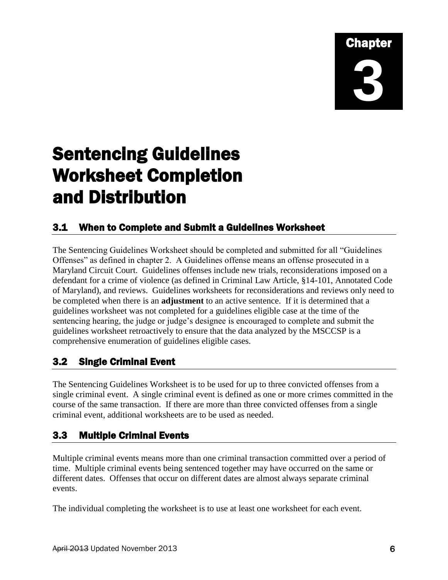## Chapter **3**

### Sentencing Guidelines Worksheet Completion and Distribution

### 3.1 When to Complete and Submit a Guidelines Worksheet

The Sentencing Guidelines Worksheet should be completed and submitted for all "Guidelines Offenses" as defined in chapter 2. A Guidelines offense means an offense prosecuted in a Maryland Circuit Court. Guidelines offenses include new trials, reconsiderations imposed on a defendant for a crime of violence (as defined in Criminal Law Article, §14-101, Annotated Code of Maryland), and reviews. Guidelines worksheets for reconsiderations and reviews only need to be completed when there is an **adjustment** to an active sentence. If it is determined that a guidelines worksheet was not completed for a guidelines eligible case at the time of the sentencing hearing, the judge or judge's designee is encouraged to complete and submit the guidelines worksheet retroactively to ensure that the data analyzed by the MSCCSP is a comprehensive enumeration of guidelines eligible cases.

### 3.2 Single Criminal Event

The Sentencing Guidelines Worksheet is to be used for up to three convicted offenses from a single criminal event. A single criminal event is defined as one or more crimes committed in the course of the same transaction. If there are more than three convicted offenses from a single criminal event, additional worksheets are to be used as needed.

### 3.3 Multiple Criminal Events

Multiple criminal events means more than one criminal transaction committed over a period of time. Multiple criminal events being sentenced together may have occurred on the same or different dates. Offenses that occur on different dates are almost always separate criminal events.

The individual completing the worksheet is to use at least one worksheet for each event.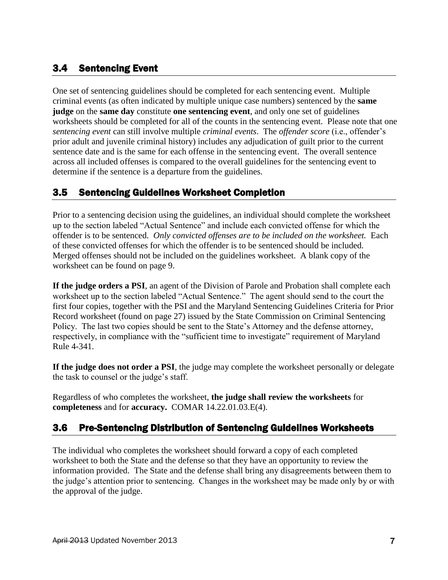### 3.4 Sentencing Event

One set of sentencing guidelines should be completed for each sentencing event. Multiple criminal events (as often indicated by multiple unique case numbers) sentenced by the **same judge** on the **same day** constitute **one sentencing event**, and only one set of guidelines worksheets should be completed for all of the counts in the sentencing event. Please note that one *sentencing event* can still involve multiple *criminal events*. The *offender score* (i.e., offender's prior adult and juvenile criminal history) includes any adjudication of guilt prior to the current sentence date and is the same for each offense in the sentencing event. The overall sentence across all included offenses is compared to the overall guidelines for the sentencing event to determine if the sentence is a departure from the guidelines.

### 3.5 Sentencing Guidelines Worksheet Completion

Prior to a sentencing decision using the guidelines, an individual should complete the worksheet up to the section labeled "Actual Sentence" and include each convicted offense for which the offender is to be sentenced. *Only convicted offenses are to be included on the worksheet.* Each of these convicted offenses for which the offender is to be sentenced should be included. Merged offenses should not be included on the guidelines worksheet. A blank copy of the worksheet can be found on page 9.

**If the judge orders a PSI**, an agent of the Division of Parole and Probation shall complete each worksheet up to the section labeled "Actual Sentence." The agent should send to the court the first four copies, together with the PSI and the Maryland Sentencing Guidelines Criteria for Prior Record worksheet (found on page 27) issued by the State Commission on Criminal Sentencing Policy. The last two copies should be sent to the State's Attorney and the defense attorney, respectively, in compliance with the "sufficient time to investigate" requirement of Maryland Rule 4-341.

**If the judge does not order a PSI**, the judge may complete the worksheet personally or delegate the task to counsel or the judge's staff.

Regardless of who completes the worksheet, **the judge shall review the worksheets** for **completeness** and for **accuracy.** COMAR 14.22.01.03.E(4).

### 3.6 Pre-Sentencing Distribution of Sentencing Guidelines Worksheets

The individual who completes the worksheet should forward a copy of each completed worksheet to both the State and the defense so that they have an opportunity to review the information provided. The State and the defense shall bring any disagreements between them to the judge's attention prior to sentencing. Changes in the worksheet may be made only by or with the approval of the judge.